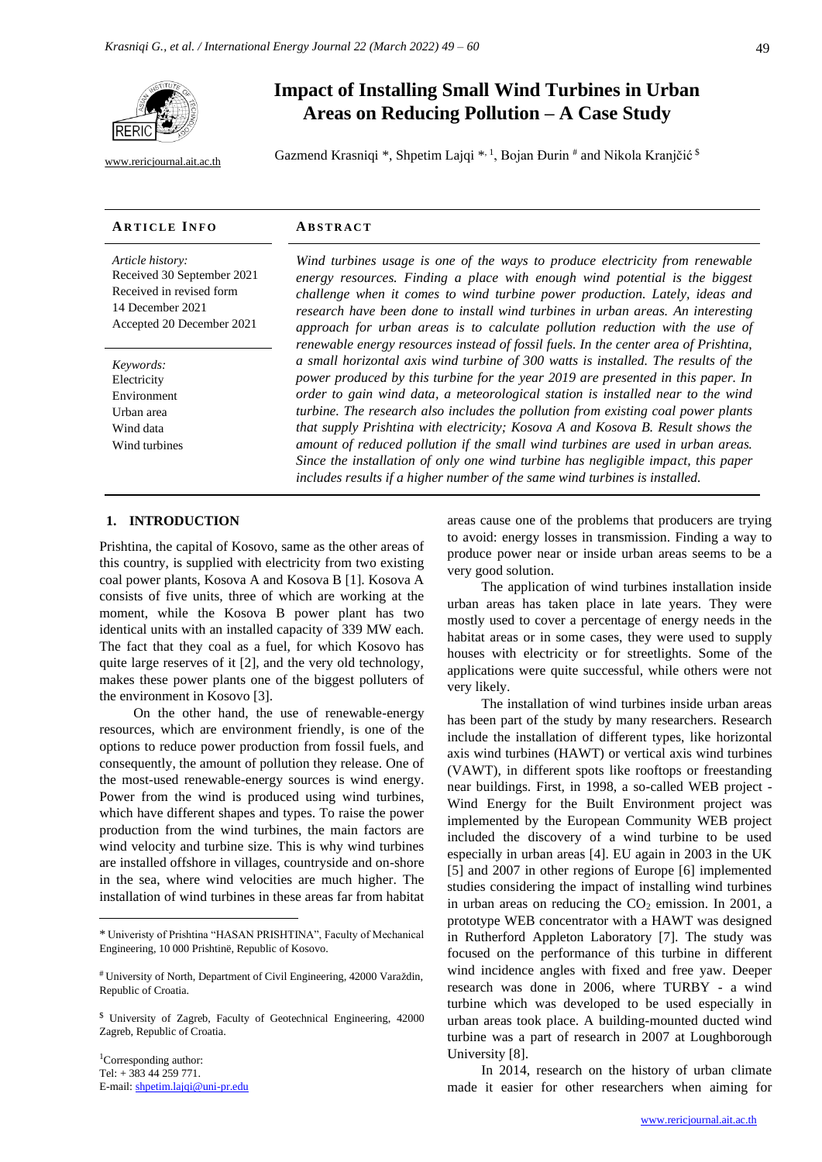

[www.rericjournal.ait.ac.th](file:///C:/Reric-Data/JOURNAL/Accepted%20Paper/Users/RERIC/Vol.11%20No.2/Formatted/For%20Print/www.rericjournal.ait.ac.th)

# **Impact of Installing Small Wind Turbines in Urban Areas on Reducing Pollution – A Case Study**

Gazmend Krasniqi \*, Shpetim Lajqi \*<sup>, 1</sup>, Bojan Đurin <sup>#</sup> and Nikola Kranjčić <sup>\$</sup>

#### **AR T I C L E I N F O AB S T R A C T** *Article history:* Received 30 September 2021 Received in revised form 14 December 2021 Accepted 20 December 2021 *Wind turbines usage is one of the ways to produce electricity from renewable*  energy resources. Finding a place with enough wind potential is the biggest *challenge when it comes to wind turbine power production. Lately, ideas and research have been done to install wind turbines in urban areas. An interesting approach for urban areas is to calculate pollution reduction with the use of renewable energy resources instead of fossil fuels. In the center area of Prishtina, a small horizontal axis wind turbine of 300 watts is installed. The results of the power produced by this turbine for the year 2019 are presented in this paper. In order to gain wind data, a meteorological station is installed near to the wind turbine. The research also includes the pollution from existing coal power plants that supply Prishtina with electricity; Kosova A and Kosova B. Result shows the amount of reduced pollution if the small wind turbines are used in urban areas. Since the installation of only one wind turbine has negligible impact, this paper includes results if a higher number of the same wind turbines is installed. Keywords:* Electricity Environment Urban area Wind data Wind turbines

#### **<sup>1</sup> 1. INTRODUCTION**

Prishtina, the capital of Kosovo, same as the other areas of this country, is supplied with electricity from two existing coal power plants, Kosova A and Kosova B [1]. Kosova A consists of five units, three of which are working at the moment, while the Kosova B power plant has two identical units with an installed capacity of 339 MW each. The fact that they coal as a fuel, for which Kosovo has quite large reserves of it [2], and the very old technology, makes these power plants one of the biggest polluters of the environment in Kosovo [3].

On the other hand, the use of renewable-energy resources, which are environment friendly, is one of the options to reduce power production from fossil fuels, and consequently, the amount of pollution they release. One of the most-used renewable-energy sources is wind energy. Power from the wind is produced using wind turbines, which have different shapes and types. To raise the power production from the wind turbines, the main factors are wind velocity and turbine size. This is why wind turbines are installed offshore in villages, countryside and on-shore in the sea, where wind velocities are much higher. The installation of wind turbines in these areas far from habitat

<sup>1</sup>Corresponding author: Tel: + 383 44 259 771. E-mail: [shpetim.lajqi@uni-pr.edu](mailto:shpetim.lajqi@uni-pr.edu) 49

areas cause one of the problems that producers are trying to avoid: energy losses in transmission. Finding a way to produce power near or inside urban areas seems to be a very good solution.

The application of wind turbines installation inside urban areas has taken place in late years. They were mostly used to cover a percentage of energy needs in the habitat areas or in some cases, they were used to supply houses with electricity or for streetlights. Some of the applications were quite successful, while others were not very likely.

The installation of wind turbines inside urban areas has been part of the study by many researchers. Research include the installation of different types, like horizontal axis wind turbines (HAWT) or vertical axis wind turbines (VAWT), in different spots like rooftops or freestanding near buildings. First, in 1998, a so-called WEB project - Wind Energy for the Built Environment project was implemented by the European Community WEB project included the discovery of a wind turbine to be used especially in urban areas [4]. EU again in 2003 in the UK [5] and 2007 in other regions of Europe [6] implemented studies considering the impact of installing wind turbines in urban areas on reducing the  $CO<sub>2</sub>$  emission. In 2001, a prototype WEB concentrator with a HAWT was designed in Rutherford Appleton Laboratory [7]. The study was focused on the performance of this turbine in different wind incidence angles with fixed and free yaw. Deeper research was done in 2006, where TURBY - a wind turbine which was developed to be used especially in urban areas took place. A building-mounted ducted wind turbine was a part of research in 2007 at Loughborough University [8].

In 2014, research on the history of urban climate made it easier for other researchers when aiming for

<sup>\*</sup> Univeristy of Prishtina "HASAN PRISHTINA", Faculty of Mechanical Engineering, 10 000 Prishtinë, Republic of Kosovo.

<sup>#</sup> University of North, Department of Civil Engineering, 42000 Varaždin, Republic of Croatia.

<sup>\$</sup> University of Zagreb, Faculty of Geotechnical Engineering, 42000 Zagreb, Republic of Croatia.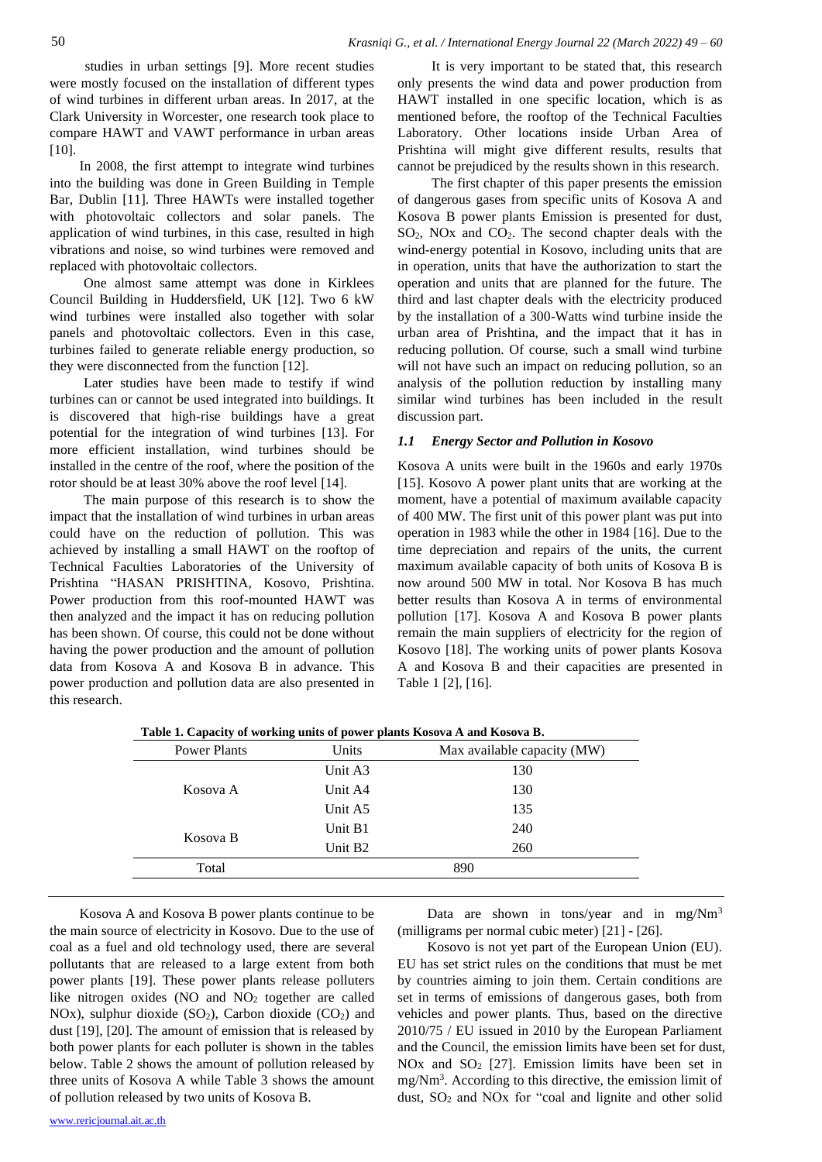studies in urban settings [9]. More recent studies were mostly focused on the installation of different types of wind turbines in different urban areas. In 2017, at the Clark University in Worcester, one research took place to compare HAWT and VAWT performance in urban areas [10].

In 2008, the first attempt to integrate wind turbines into the building was done in Green Building in Temple Bar, Dublin [11]. Three HAWTs were installed together with photovoltaic collectors and solar panels. The application of wind turbines, in this case, resulted in high vibrations and noise, so wind turbines were removed and replaced with photovoltaic collectors.

One almost same attempt was done in Kirklees Council Building in Huddersfield, UK [12]. Two 6 kW wind turbines were installed also together with solar panels and photovoltaic collectors. Even in this case, turbines failed to generate reliable energy production, so they were disconnected from the function [12].

Later studies have been made to testify if wind turbines can or cannot be used integrated into buildings. It is discovered that high-rise buildings have a great potential for the integration of wind turbines [13]. For more efficient installation, wind turbines should be installed in the centre of the roof, where the position of the rotor should be at least 30% above the roof level [14].

The main purpose of this research is to show the impact that the installation of wind turbines in urban areas could have on the reduction of pollution. This was achieved by installing a small HAWT on the rooftop of Technical Faculties Laboratories of the University of Prishtina "HASAN PRISHTINA, Kosovo, Prishtina. Power production from this roof-mounted HAWT was then analyzed and the impact it has on reducing pollution has been shown. Of course, this could not be done without having the power production and the amount of pollution data from Kosova A and Kosova B in advance. This power production and pollution data are also presented in this research.

It is very important to be stated that, this research only presents the wind data and power production from HAWT installed in one specific location, which is as mentioned before, the rooftop of the Technical Faculties Laboratory. Other locations inside Urban Area of Prishtina will might give different results, results that cannot be prejudiced by the results shown in this research.

The first chapter of this paper presents the emission of dangerous gases from specific units of Kosova A and Kosova B power plants Emission is presented for dust, SO2, NOx and CO2. The second chapter deals with the wind-energy potential in Kosovo, including units that are in operation, units that have the authorization to start the operation and units that are planned for the future. The third and last chapter deals with the electricity produced by the installation of a 300-Watts wind turbine inside the urban area of Prishtina, and the impact that it has in reducing pollution. Of course, such a small wind turbine will not have such an impact on reducing pollution, so an analysis of the pollution reduction by installing many similar wind turbines has been included in the result discussion part.

#### *1.1 Energy Sector and Pollution in Kosovo*

Kosova A units were built in the 1960s and early 1970s [15]. Kosovo A power plant units that are working at the moment, have a potential of maximum available capacity of 400 MW. The first unit of this power plant was put into operation in 1983 while the other in 1984 [16]. Due to the time depreciation and repairs of the units, the current maximum available capacity of both units of Kosova B is now around 500 MW in total. Nor Kosova B has much better results than Kosova A in terms of environmental pollution [17]. Kosova A and Kosova B power plants remain the main suppliers of electricity for the region of Kosovo [18]. The working units of power plants Kosova A and Kosova B and their capacities are presented in Table 1 [2], [16].

| Unit A3             |     |
|---------------------|-----|
|                     | 130 |
| Unit A4             | 130 |
| Unit A5             | 135 |
| Unit B1             | 240 |
| Unit B <sub>2</sub> | 260 |
|                     | 890 |
|                     |     |

**Table 1. Capacity of working units of power plants Kosova A and Kosova B.**

Kosova A and Kosova B power plants continue to be the main source of electricity in Kosovo. Due to the use of coal as a fuel and old technology used, there are several pollutants that are released to a large extent from both power plants [19]. These power plants release polluters like nitrogen oxides (NO and NO<sup>2</sup> together are called NOx), sulphur dioxide  $(SO_2)$ , Carbon dioxide  $(CO_2)$  and dust [19], [20]. The amount of emission that is released by both power plants for each polluter is shown in the tables below. Table 2 shows the amount of pollution released by three units of Kosova A while Table 3 shows the amount of pollution released by two units of Kosova B.

Data are shown in tons/year and in mg/Nm<sup>3</sup> (milligrams per normal cubic meter) [21] - [26].

Kosovo is not yet part of the European Union (EU). EU has set strict rules on the conditions that must be met by countries aiming to join them. Certain conditions are set in terms of emissions of dangerous gases, both from vehicles and power plants. Thus, based on the directive 2010/75 / EU issued in 2010 by the European Parliament and the Council, the emission limits have been set for dust, NOx and  $SO<sub>2</sub>$  [27]. Emission limits have been set in mg/Nm<sup>3</sup> . According to this directive, the emission limit of dust,  $SO<sub>2</sub>$  and NOx for "coal and lignite and other solid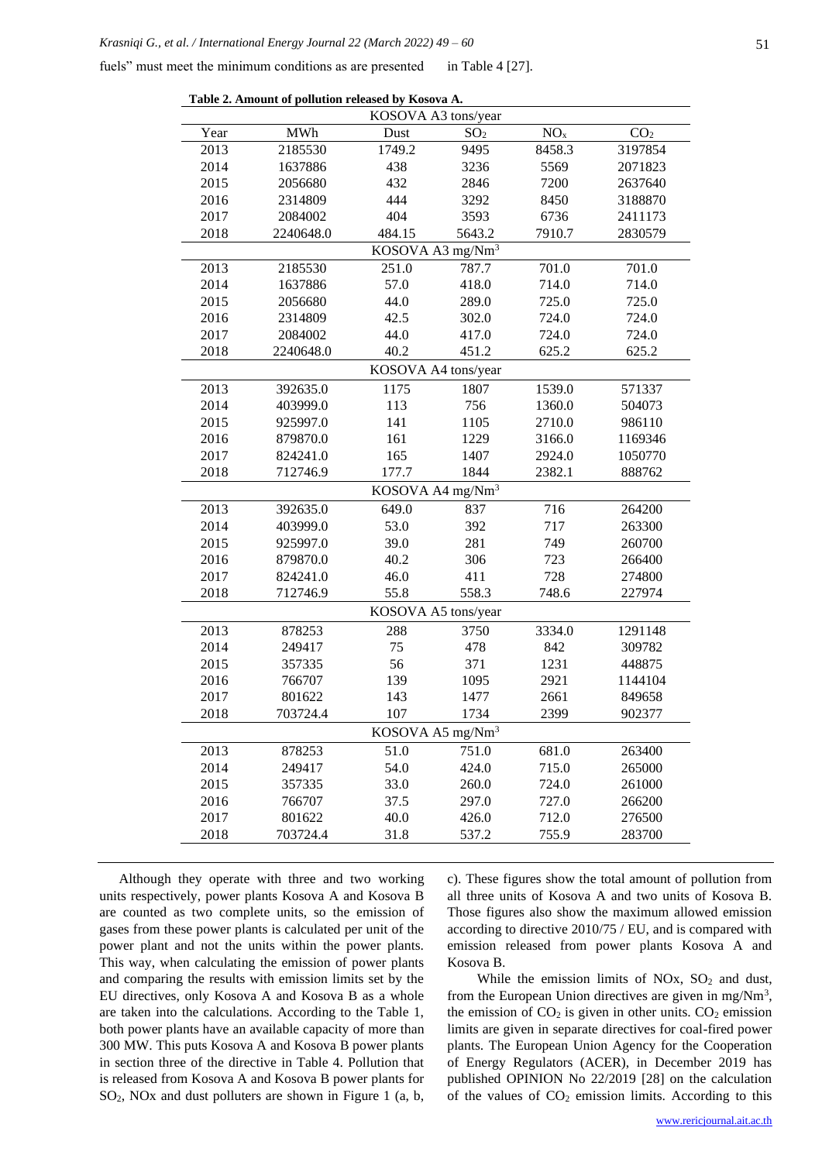fuels" must meet the minimum conditions as are presented in Table 4 [27].

| Table 2. Amount of pollution released by Kosova A. |            |                              |                 |                 |                 |
|----------------------------------------------------|------------|------------------------------|-----------------|-----------------|-----------------|
| KOSOVA A3 tons/year                                |            |                              |                 |                 |                 |
| Year                                               | <b>MWh</b> | Dust                         | SO <sub>2</sub> | NO <sub>x</sub> | CO <sub>2</sub> |
| 2013                                               | 2185530    | 1749.2                       | 9495            | 8458.3          | 3197854         |
| 2014                                               | 1637886    | 438                          | 3236            | 5569            | 2071823         |
| 2015                                               | 2056680    | 432                          | 2846            | 7200            | 2637640         |
| 2016                                               | 2314809    | 444                          | 3292            | 8450            | 3188870         |
| 2017                                               | 2084002    | 404                          | 3593            | 6736            | 2411173         |
| 2018                                               | 2240648.0  | 484.15                       | 5643.2          | 7910.7          | 2830579         |
|                                                    |            | KOSOVA A3 mg/Nm <sup>3</sup> |                 |                 |                 |
| 2013                                               | 2185530    | 251.0                        | 787.7           | 701.0           | 701.0           |
| 2014                                               | 1637886    | 57.0                         | 418.0           | 714.0           | 714.0           |
| 2015                                               | 2056680    | 44.0                         | 289.0           | 725.0           | 725.0           |
| 2016                                               | 2314809    | 42.5                         | 302.0           | 724.0           | 724.0           |
| 2017                                               | 2084002    | 44.0                         | 417.0           | 724.0           | 724.0           |
| 2018                                               | 2240648.0  | 40.2                         | 451.2           | 625.2           | 625.2           |
|                                                    |            | KOSOVA A4 tons/year          |                 |                 |                 |
| 2013                                               | 392635.0   | 1175                         | 1807            | 1539.0          | 571337          |
| 2014                                               | 403999.0   | 113                          | 756             | 1360.0          | 504073          |
| 2015                                               | 925997.0   | 141                          | 1105            | 2710.0          | 986110          |
| 2016                                               | 879870.0   | 161                          | 1229            | 3166.0          | 1169346         |
| 2017                                               | 824241.0   | 165                          | 1407            | 2924.0          | 1050770         |
| 2018                                               | 712746.9   | 177.7                        | 1844            | 2382.1          | 888762          |
|                                                    |            | KOSOVA A4 mg/Nm <sup>3</sup> |                 |                 |                 |
| 2013                                               | 392635.0   | 649.0                        | 837             | 716             | 264200          |
| 2014                                               | 403999.0   | 53.0                         | 392             | 717             | 263300          |
| 2015                                               | 925997.0   | 39.0                         | 281             | 749             | 260700          |
| 2016                                               | 879870.0   | 40.2                         | 306             | 723             | 266400          |
| 2017                                               | 824241.0   | 46.0                         | 411             | 728             | 274800          |
| 2018                                               | 712746.9   | 55.8                         | 558.3           | 748.6           | 227974          |
|                                                    |            | KOSOVA A5 tons/year          |                 |                 |                 |
| 2013                                               | 878253     | 288                          | 3750            | 3334.0          | 1291148         |
| 2014                                               | 249417     | 75                           | 478             | 842             | 309782          |
| 2015                                               | 357335     | 56                           | 371             | 1231            | 448875          |
| 2016                                               | 766707     | 139                          | 1095            | 2921            | 1144104         |
| 2017                                               | 801622     | 143                          | 1477            | 2661            | 849658          |
| 2018                                               | 703724.4   | 107                          | 1734            | 2399            | 902377          |
|                                                    |            | KOSOVA A5 mg/ $Nm^3$         |                 |                 |                 |
| 2013                                               | 878253     | 51.0                         | 751.0           | 681.0           | 263400          |
| 2014                                               | 249417     | 54.0                         | 424.0           | 715.0           | 265000          |
| 2015                                               | 357335     | 33.0                         | 260.0           | 724.0           | 261000          |
| 2016                                               | 766707     | 37.5                         | 297.0           | 727.0           | 266200          |
| 2017                                               | 801622     | 40.0                         | 426.0           | 712.0           | 276500          |
| 2018                                               | 703724.4   | 31.8                         | 537.2           | 755.9           | 283700          |
|                                                    |            |                              |                 |                 |                 |

Although they operate with three and two working units respectively, power plants Kosova A and Kosova B are counted as two complete units, so the emission of gases from these power plants is calculated per unit of the power plant and not the units within the power plants. This way, when calculating the emission of power plants and comparing the results with emission limits set by the EU directives, only Kosova A and Kosova B as a whole are taken into the calculations. According to the Table 1, both power plants have an available capacity of more than 300 MW. This puts Kosova A and Kosova B power plants in section three of the directive in Table 4. Pollution that is released from Kosova A and Kosova B power plants for SO2, NOx and dust polluters are shown in Figure 1 (a, b, c). These figures show the total amount of pollution from all three units of Kosova A and two units of Kosova B. Those figures also show the maximum allowed emission according to directive 2010/75 / EU, and is compared with emission released from power plants Kosova A and Kosova B.

While the emission limits of NOx,  $SO<sub>2</sub>$  and dust, from the European Union directives are given in mg/ $Nm^3$ , the emission of  $CO<sub>2</sub>$  is given in other units.  $CO<sub>2</sub>$  emission limits are given in separate directives for coal-fired power plants. The European Union Agency for the Cooperation of Energy Regulators (ACER), in December 2019 has published OPINION No 22/2019 [28] on the calculation of the values of  $CO<sub>2</sub>$  emission limits. According to this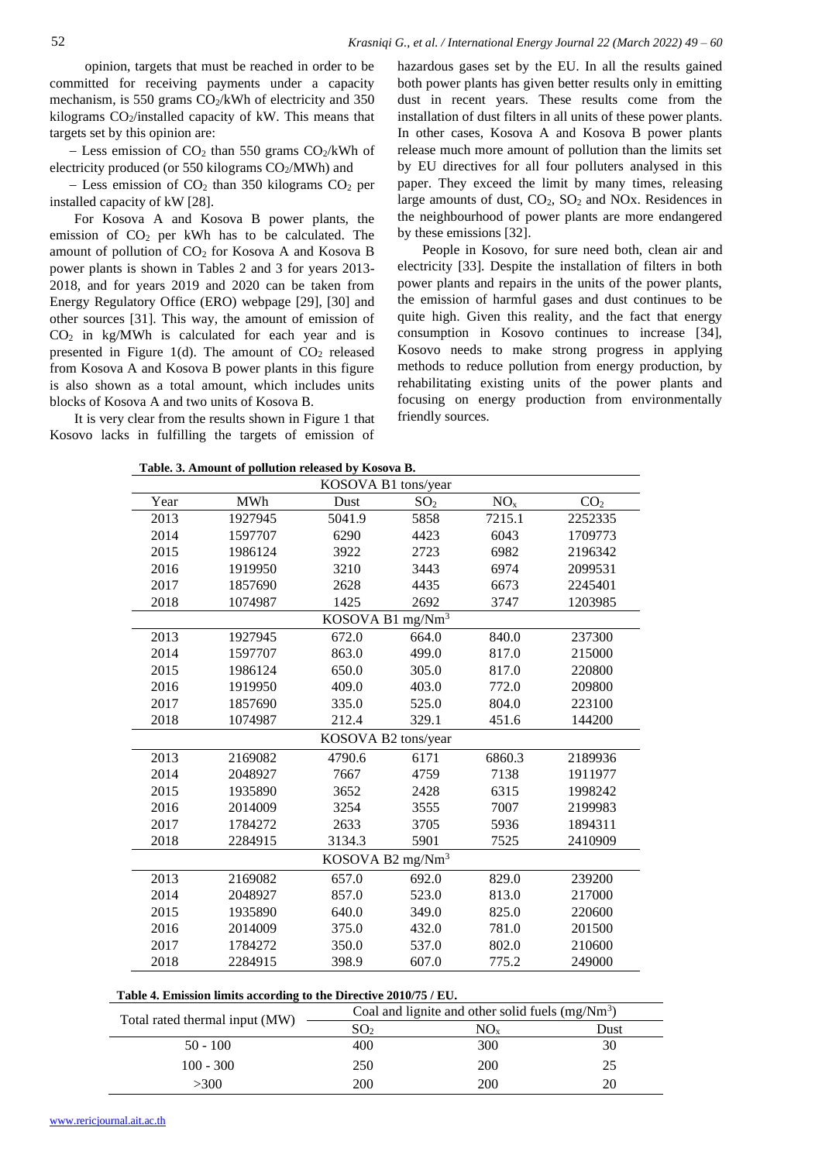opinion, targets that must be reached in order to be committed for receiving payments under a capacity mechanism, is 550 grams  $CO_2/kWh$  of electricity and 350 kilograms CO2/installed capacity of kW. This means that targets set by this opinion are:

 $-$  Less emission of CO<sub>2</sub> than 550 grams CO<sub>2</sub>/kWh of electricity produced (or 550 kilograms CO<sub>2</sub>/MWh) and

 $-$  Less emission of CO<sub>2</sub> than 350 kilograms CO<sub>2</sub> per installed capacity of kW [28].

For Kosova A and Kosova B power plants, the emission of  $CO<sub>2</sub>$  per kWh has to be calculated. The amount of pollution of  $CO<sub>2</sub>$  for Kosova A and Kosova B power plants is shown in Tables 2 and 3 for years 2013- 2018, and for years 2019 and 2020 can be taken from Energy Regulatory Office (ERO) webpage [29], [30] and other sources [31]. This way, the amount of emission of  $CO<sub>2</sub>$  in kg/MWh is calculated for each year and is presented in Figure 1(d). The amount of  $CO<sub>2</sub>$  released from Kosova A and Kosova B power plants in this figure is also shown as a total amount, which includes units blocks of Kosova A and two units of Kosova B.

It is very clear from the results shown in Figure 1 that Kosovo lacks in fulfilling the targets of emission of hazardous gases set by the EU. In all the results gained both power plants has given better results only in emitting dust in recent years. These results come from the installation of dust filters in all units of these power plants. In other cases, Kosova A and Kosova B power plants release much more amount of pollution than the limits set by EU directives for all four polluters analysed in this paper. They exceed the limit by many times, releasing large amounts of dust, CO<sub>2</sub>, SO<sub>2</sub> and NO<sub>x</sub>. Residences in the neighbourhood of power plants are more endangered by these emissions [32].

People in Kosovo, for sure need both, clean air and electricity [33]. Despite the installation of filters in both power plants and repairs in the units of the power plants, the emission of harmful gases and dust continues to be quite high. Given this reality, and the fact that energy consumption in Kosovo continues to increase [34], Kosovo needs to make strong progress in applying methods to reduce pollution from energy production, by rehabilitating existing units of the power plants and focusing on energy production from environmentally friendly sources.

| Lable. 5. Alliount of pondtion released by Kosova D. |            |                              |                 |                 |                 |
|------------------------------------------------------|------------|------------------------------|-----------------|-----------------|-----------------|
| KOSOVA B1 tons/year                                  |            |                              |                 |                 |                 |
| Year                                                 | <b>MWh</b> | Dust                         | SO <sub>2</sub> | NO <sub>x</sub> | CO <sub>2</sub> |
| 2013                                                 | 1927945    | 5041.9                       | 5858            | 7215.1          | 2252335         |
| 2014                                                 | 1597707    | 6290                         | 4423            | 6043            | 1709773         |
| 2015                                                 | 1986124    | 3922                         | 2723            | 6982            | 2196342         |
| 2016                                                 | 1919950    | 3210                         | 3443            | 6974            | 2099531         |
| 2017                                                 | 1857690    | 2628                         | 4435            | 6673            | 2245401         |
| 2018                                                 | 1074987    | 1425                         | 2692            | 3747            | 1203985         |
|                                                      |            | KOSOVA B1 mg/Nm <sup>3</sup> |                 |                 |                 |
| 2013                                                 | 1927945    | 672.0                        | 664.0           | 840.0           | 237300          |
| 2014                                                 | 1597707    | 863.0                        | 499.0           | 817.0           | 215000          |
| 2015                                                 | 1986124    | 650.0                        | 305.0           | 817.0           | 220800          |
| 2016                                                 | 1919950    | 409.0                        | 403.0           | 772.0           | 209800          |
| 2017                                                 | 1857690    | 335.0                        | 525.0           | 804.0           | 223100          |
| 2018                                                 | 1074987    | 212.4                        | 329.1           | 451.6           | 144200          |
|                                                      |            | KOSOVA B2 tons/year          |                 |                 |                 |
| 2013                                                 | 2169082    | 4790.6                       | 6171            | 6860.3          | 2189936         |
| 2014                                                 | 2048927    | 7667                         | 4759            | 7138            | 1911977         |
| 2015                                                 | 1935890    | 3652                         | 2428            | 6315            | 1998242         |
| 2016                                                 | 2014009    | 3254                         | 3555            | 7007            | 2199983         |
| 2017                                                 | 1784272    | 2633                         | 3705            | 5936            | 1894311         |
| 2018                                                 | 2284915    | 3134.3                       | 5901            | 7525            | 2410909         |
| KOSOVA B2 mg/Nm <sup>3</sup>                         |            |                              |                 |                 |                 |
| 2013                                                 | 2169082    | 657.0                        | 692.0           | 829.0           | 239200          |
| 2014                                                 | 2048927    | 857.0                        | 523.0           | 813.0           | 217000          |
| 2015                                                 | 1935890    | 640.0                        | 349.0           | 825.0           | 220600          |
| 2016                                                 | 2014009    | 375.0                        | 432.0           | 781.0           | 201500          |
| 2017                                                 | 1784272    | 350.0                        | 537.0           | 802.0           | 210600          |
| 2018                                                 | 2284915    | 398.9                        | 607.0           | 775.2           | 249000          |
|                                                      |            |                              |                 |                 |                 |

| Table 4. Emission limits according to the Directive 2010/75 / EU. |  |  |  |
|-------------------------------------------------------------------|--|--|--|
|-------------------------------------------------------------------|--|--|--|

| Total rated thermal input (MW) |                 | Coal and lignite and other solid fuels $(mg/Nm3)$ |      |
|--------------------------------|-----------------|---------------------------------------------------|------|
|                                | SO <sub>2</sub> | NO.                                               | Dust |
| $50 - 100$                     | 400             | 300                                               | 30   |
| $100 - 300$                    | 250             | 200                                               | 25   |
| >300                           | 200             | 200                                               | 20   |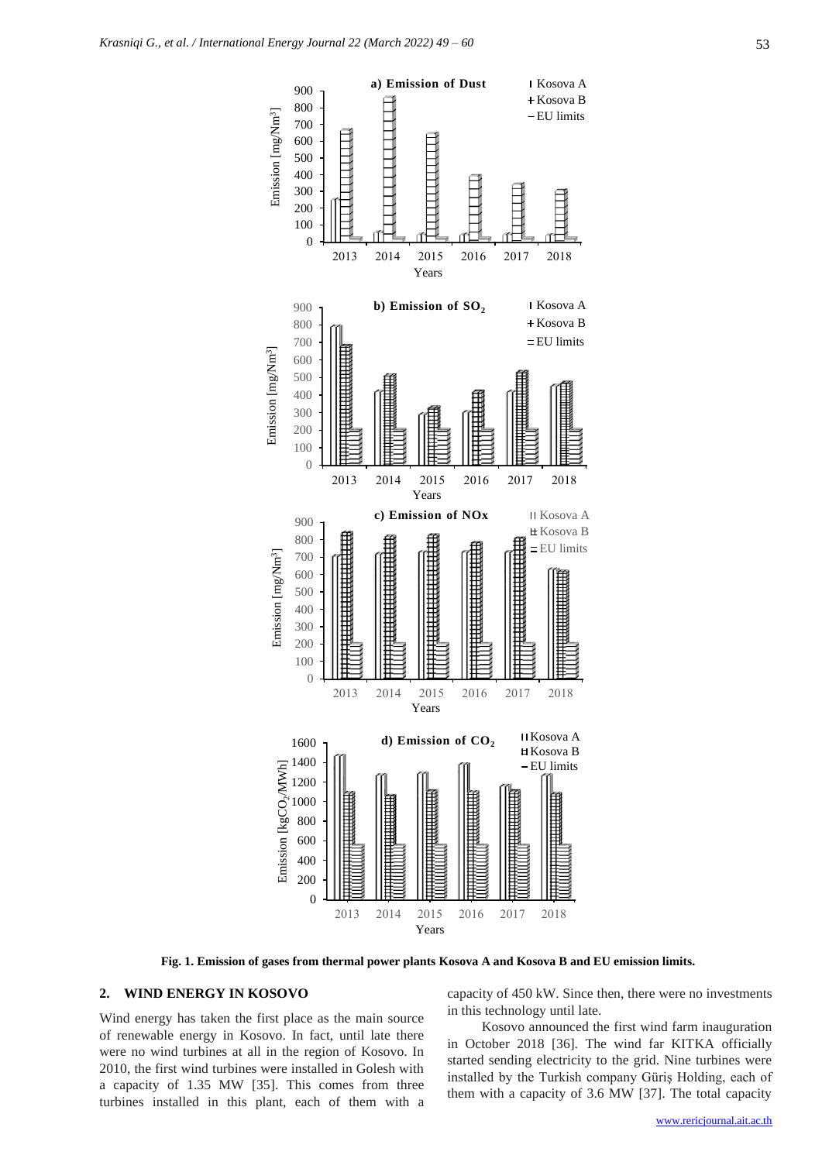

**Fig. 1. Emission of gases from thermal power plants Kosova A and Kosova B and EU emission limits.**

### **2. WIND ENERGY IN KOSOVO**

Wind energy has taken the first place as the main source of renewable energy in Kosovo. In fact, until late there were no wind turbines at all in the region of Kosovo. In 2010, the first wind turbines were installed in Golesh with a capacity of 1.35 MW [35]. This comes from three turbines installed in this plant, each of them with a capacity of 450 kW. Since then, there were no investments in this technology until late.

Kosovo announced the first wind farm inauguration in October 2018 [36]. The wind far KITKA officially started sending electricity to the grid. Nine turbines were installed by the Turkish company Güriş Holding, each of them with a capacity of 3.6 MW [37]. The total capacity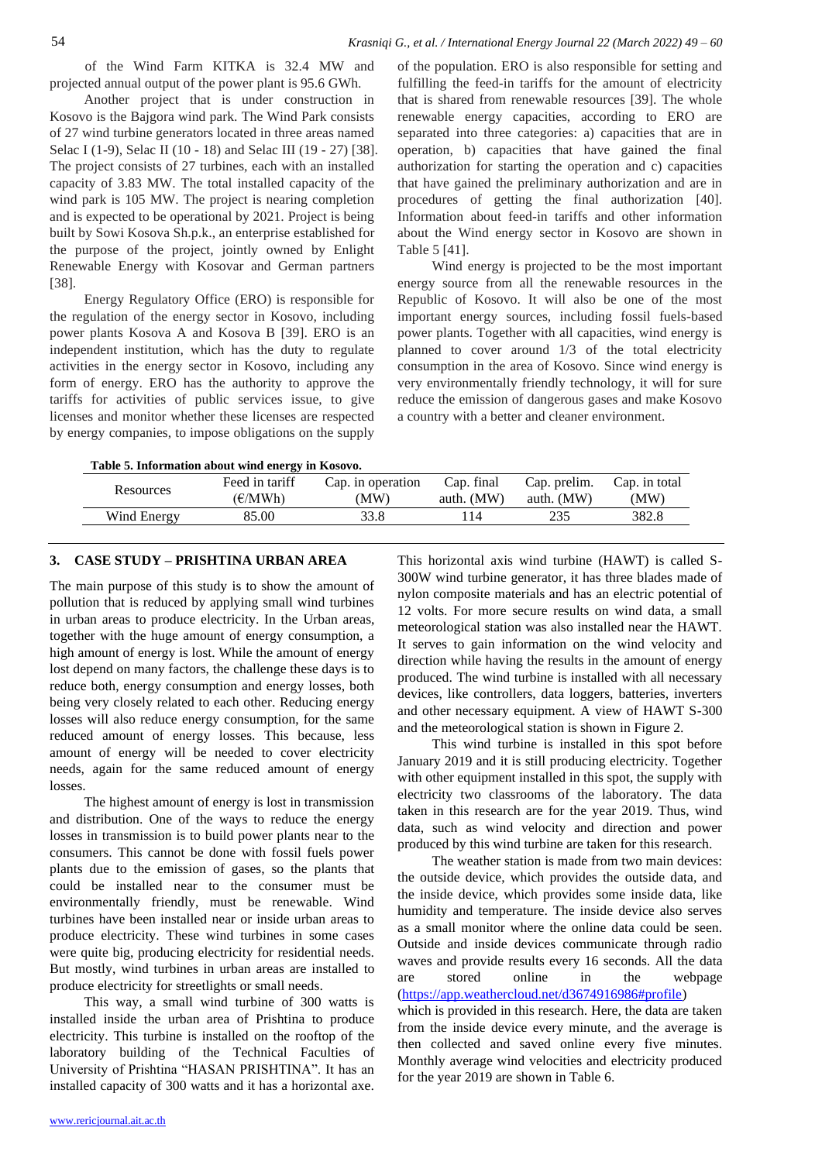of the Wind Farm KITKA is 32.4 MW and projected annual output of the power plant is 95.6 GWh.

Another project that is under construction in Kosovo is the Bajgora wind park. The Wind Park consists of 27 wind turbine generators located in three areas named Selac I (1-9), Selac II (10 - 18) and Selac III (19 - 27) [38]. The project consists of 27 turbines, each with an installed capacity of 3.83 MW. The total installed capacity of the wind park is 105 MW. The project is nearing completion and is expected to be operational by 2021. Project is being built by Sowi Kosova Sh.p.k., an enterprise established for the purpose of the project, jointly owned by Enlight Renewable Energy with Kosovar and German partners [38].

Energy Regulatory Office (ERO) is responsible for the regulation of the energy sector in Kosovo, including power plants Kosova A and Kosova B [39]. ERO is an independent institution, which has the duty to regulate activities in the energy sector in Kosovo, including any form of energy. ERO has the authority to approve the tariffs for activities of public services issue, to give licenses and monitor whether these licenses are respected by energy companies, to impose obligations on the supply

of the population. ERO is also responsible for setting and fulfilling the feed-in tariffs for the amount of electricity that is shared from renewable resources [39]. The whole renewable energy capacities, according to ERO are separated into three categories: a) capacities that are in operation, b) capacities that have gained the final authorization for starting the operation and c) capacities that have gained the preliminary authorization and are in procedures of getting the final authorization [40]. Information about feed-in tariffs and other information about the Wind energy sector in Kosovo are shown in Table 5 [41].

Wind energy is projected to be the most important energy source from all the renewable resources in the Republic of Kosovo. It will also be one of the most important energy sources, including fossil fuels-based power plants. Together with all capacities, wind energy is planned to cover around 1/3 of the total electricity consumption in the area of Kosovo. Since wind energy is very environmentally friendly technology, it will for sure reduce the emission of dangerous gases and make Kosovo a country with a better and cleaner environment.

**Table 5. Information about wind energy in Kosovo.**

| THE $\alpha$ - Hilly matrice about white the $\epsilon$ and $\alpha$ |                           |                           |                          |                            |                      |
|----------------------------------------------------------------------|---------------------------|---------------------------|--------------------------|----------------------------|----------------------|
| Resources                                                            | Feed in tariff<br>(€/MWh) | Cap. in operation<br>(MW) | Cap. final<br>auth. (MW) | Cap. prelim.<br>auth. (MW) | Cap. in total<br>MW) |
| Wind Energy                                                          | 85.00                     | 33.8                      | -14                      | 235                        | 382.8                |

## **3. CASE STUDY – PRISHTINA URBAN AREA**

The main purpose of this study is to show the amount of pollution that is reduced by applying small wind turbines in urban areas to produce electricity. In the Urban areas, together with the huge amount of energy consumption, a high amount of energy is lost. While the amount of energy lost depend on many factors, the challenge these days is to reduce both, energy consumption and energy losses, both being very closely related to each other. Reducing energy losses will also reduce energy consumption, for the same reduced amount of energy losses. This because, less amount of energy will be needed to cover electricity needs, again for the same reduced amount of energy losses.

The highest amount of energy is lost in transmission and distribution. One of the ways to reduce the energy losses in transmission is to build power plants near to the consumers. This cannot be done with fossil fuels power plants due to the emission of gases, so the plants that could be installed near to the consumer must be environmentally friendly, must be renewable. Wind turbines have been installed near or inside urban areas to produce electricity. These wind turbines in some cases were quite big, producing electricity for residential needs. But mostly, wind turbines in urban areas are installed to produce electricity for streetlights or small needs.

This way, a small wind turbine of 300 watts is installed inside the urban area of Prishtina to produce electricity. This turbine is installed on the rooftop of the laboratory building of the Technical Faculties of University of Prishtina "HASAN PRISHTINA". It has an installed capacity of 300 watts and it has a horizontal axe.

300W wind turbine generator, it has three blades made of nylon composite materials and has an electric potential of 12 volts. For more secure results on wind data, a small meteorological station was also installed near the HAWT. It serves to gain information on the wind velocity and direction while having the results in the amount of energy produced. The wind turbine is installed with all necessary devices, like controllers, data loggers, batteries, inverters and other necessary equipment. A view of HAWT S-300 and the meteorological station is shown in Figure 2. This wind turbine is installed in this spot before

This horizontal axis wind turbine (HAWT) is called S-

January 2019 and it is still producing electricity. Together with other equipment installed in this spot, the supply with electricity two classrooms of the laboratory. The data taken in this research are for the year 2019. Thus, wind data, such as wind velocity and direction and power produced by this wind turbine are taken for this research.

The weather station is made from two main devices: the outside device, which provides the outside data, and the inside device, which provides some inside data, like humidity and temperature. The inside device also serves as a small monitor where the online data could be seen. Outside and inside devices communicate through radio waves and provide results every 16 seconds. All the data are stored online in the webpage [\(https://app.weathercloud.net/d3674916986#profile\)](https://app.weathercloud.net/d3674916986#profile)

which is provided in this research. Here, the data are taken from the inside device every minute, and the average is then collected and saved online every five minutes. Monthly average wind velocities and electricity produced for the year 2019 are shown in Table 6.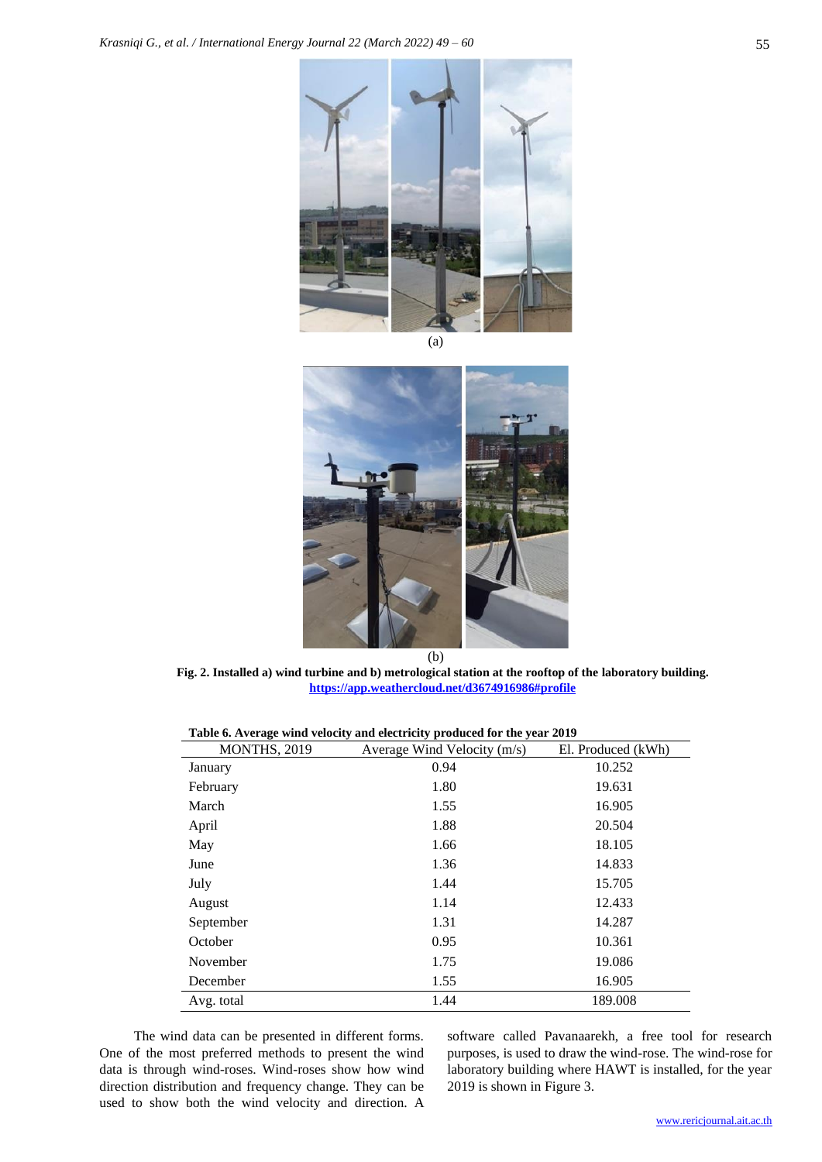

(a)



**Fig. 2. Installed a) wind turbine and b) metrological station at the rooftop of the laboratory building. <https://app.weathercloud.net/d3674916986#profile>**

| Table 6. Average wind velocity and electricity produced for the year 2019 |  |
|---------------------------------------------------------------------------|--|
|                                                                           |  |

| MONTHS, 2019 | Average Wind Velocity (m/s) | El. Produced (kWh) |
|--------------|-----------------------------|--------------------|
| January      | 0.94                        | 10.252             |
| February     | 1.80                        | 19.631             |
| March        | 1.55                        | 16.905             |
| April        | 1.88                        | 20.504             |
| May          | 1.66                        | 18.105             |
| June         | 1.36                        | 14.833             |
| July         | 1.44                        | 15.705             |
| August       | 1.14                        | 12.433             |
| September    | 1.31                        | 14.287             |
| October      | 0.95                        | 10.361             |
| November     | 1.75                        | 19.086             |
| December     | 1.55                        | 16.905             |
| Avg. total   | 1.44                        | 189.008            |

The wind data can be presented in different forms. One of the most preferred methods to present the wind data is through wind-roses. Wind-roses show how wind direction distribution and frequency change. They can be used to show both the wind velocity and direction. A

software called Pavanaarekh, a free tool for research purposes, is used to draw the wind-rose. The wind-rose for laboratory building where HAWT is installed, for the year 2019 is shown in Figure 3.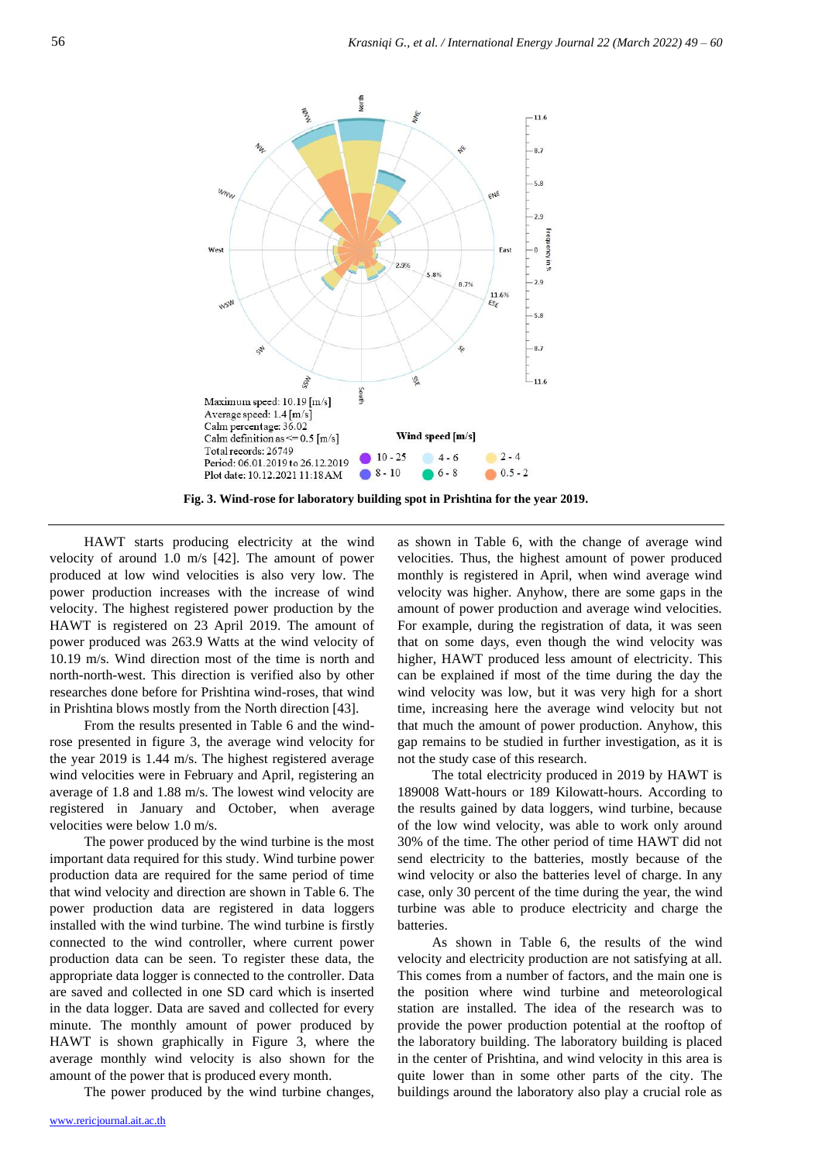

**Fig. 3. Wind-rose for laboratory building spot in Prishtina for the year 2019.**

HAWT starts producing electricity at the wind velocity of around 1.0 m/s [42]. The amount of power produced at low wind velocities is also very low. The power production increases with the increase of wind velocity. The highest registered power production by the HAWT is registered on 23 April 2019. The amount of power produced was 263.9 Watts at the wind velocity of 10.19 m/s. Wind direction most of the time is north and north-north-west. This direction is verified also by other researches done before for Prishtina wind-roses, that wind in Prishtina blows mostly from the North direction [43].

From the results presented in Table 6 and the windrose presented in figure 3, the average wind velocity for the year 2019 is 1.44 m/s. The highest registered average wind velocities were in February and April, registering an average of 1.8 and 1.88 m/s. The lowest wind velocity are registered in January and October, when average velocities were below 1.0 m/s.

The power produced by the wind turbine is the most important data required for this study. Wind turbine power production data are required for the same period of time that wind velocity and direction are shown in Table 6. The power production data are registered in data loggers installed with the wind turbine. The wind turbine is firstly connected to the wind controller, where current power production data can be seen. To register these data, the appropriate data logger is connected to the controller. Data are saved and collected in one SD card which is inserted in the data logger. Data are saved and collected for every minute. The monthly amount of power produced by HAWT is shown graphically in Figure 3, where the average monthly wind velocity is also shown for the amount of the power that is produced every month.

The power produced by the wind turbine changes,

velocities. Thus, the highest amount of power produced monthly is registered in April, when wind average wind velocity was higher. Anyhow, there are some gaps in the amount of power production and average wind velocities. For example, during the registration of data, it was seen that on some days, even though the wind velocity was higher, HAWT produced less amount of electricity. This can be explained if most of the time during the day the wind velocity was low, but it was very high for a short time, increasing here the average wind velocity but not that much the amount of power production. Anyhow, this gap remains to be studied in further investigation, as it is not the study case of this research. The total electricity produced in 2019 by HAWT is

as shown in Table 6, with the change of average wind

189008 Watt-hours or 189 Kilowatt-hours. According to the results gained by data loggers, wind turbine, because of the low wind velocity, was able to work only around 30% of the time. The other period of time HAWT did not send electricity to the batteries, mostly because of the wind velocity or also the batteries level of charge. In any case, only 30 percent of the time during the year, the wind turbine was able to produce electricity and charge the batteries.

As shown in Table 6, the results of the wind velocity and electricity production are not satisfying at all. This comes from a number of factors, and the main one is the position where wind turbine and meteorological station are installed. The idea of the research was to provide the power production potential at the rooftop of the laboratory building. The laboratory building is placed in the center of Prishtina, and wind velocity in this area is quite lower than in some other parts of the city. The buildings around the laboratory also play a crucial role as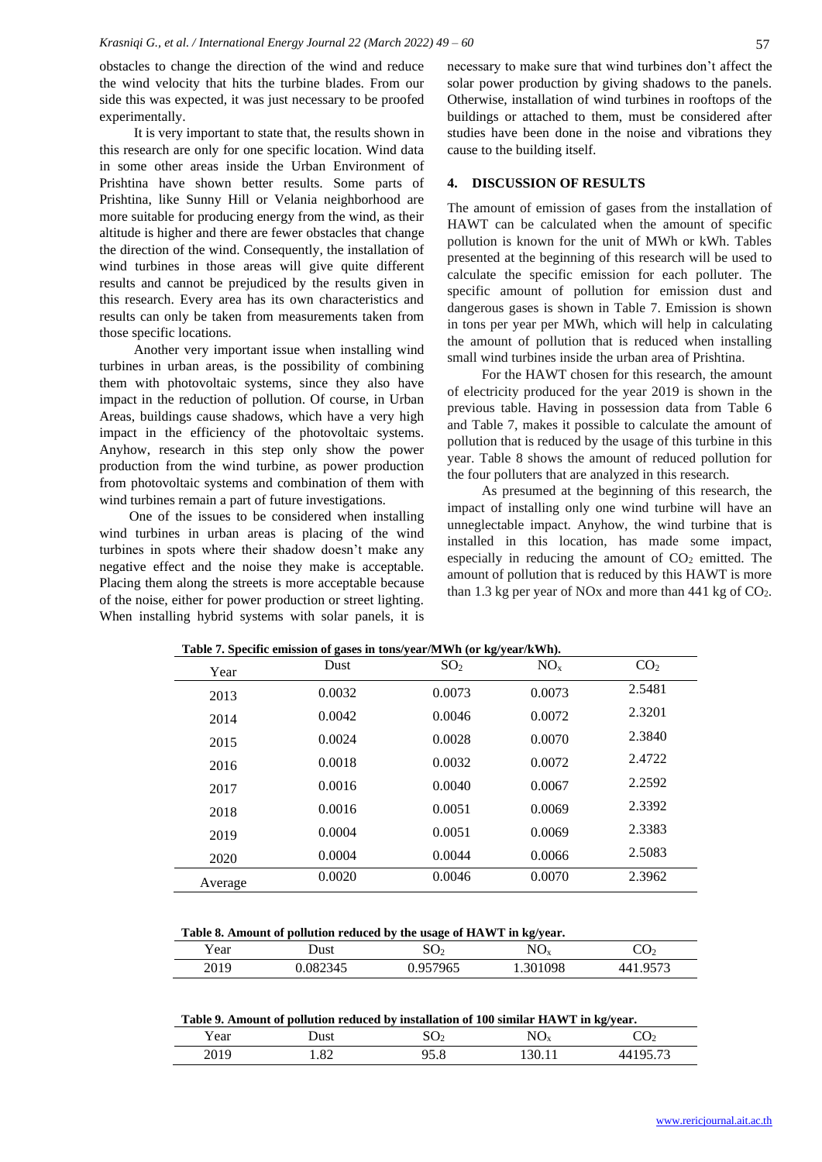obstacles to change the direction of the wind and reduce the wind velocity that hits the turbine blades. From our side this was expected, it was just necessary to be proofed experimentally.

It is very important to state that, the results shown in this research are only for one specific location. Wind data in some other areas inside the Urban Environment of Prishtina have shown better results. Some parts of Prishtina, like Sunny Hill or Velania neighborhood are more suitable for producing energy from the wind, as their altitude is higher and there are fewer obstacles that change the direction of the wind. Consequently, the installation of wind turbines in those areas will give quite different results and cannot be prejudiced by the results given in this research. Every area has its own characteristics and results can only be taken from measurements taken from those specific locations.

Another very important issue when installing wind turbines in urban areas, is the possibility of combining them with photovoltaic systems, since they also have impact in the reduction of pollution. Of course, in Urban Areas, buildings cause shadows, which have a very high impact in the efficiency of the photovoltaic systems. Anyhow, research in this step only show the power production from the wind turbine, as power production from photovoltaic systems and combination of them with wind turbines remain a part of future investigations.

One of the issues to be considered when installing wind turbines in urban areas is placing of the wind turbines in spots where their shadow doesn't make any negative effect and the noise they make is acceptable. Placing them along the streets is more acceptable because of the noise, either for power production or street lighting. When installing hybrid systems with solar panels, it is

necessary to make sure that wind turbines don't affect the solar power production by giving shadows to the panels. Otherwise, installation of wind turbines in rooftops of the buildings or attached to them, must be considered after studies have been done in the noise and vibrations they cause to the building itself.

### **4. DISCUSSION OF RESULTS**

The amount of emission of gases from the installation of HAWT can be calculated when the amount of specific pollution is known for the unit of MWh or kWh. Tables presented at the beginning of this research will be used to calculate the specific emission for each polluter. The specific amount of pollution for emission dust and dangerous gases is shown in Table 7. Emission is shown in tons per year per MWh, which will help in calculating the amount of pollution that is reduced when installing small wind turbines inside the urban area of Prishtina.

For the HAWT chosen for this research, the amount of electricity produced for the year 2019 is shown in the previous table. Having in possession data from Table 6 and Table 7, makes it possible to calculate the amount of pollution that is reduced by the usage of this turbine in this year. Table 8 shows the amount of reduced pollution for the four polluters that are analyzed in this research.

As presumed at the beginning of this research, the impact of installing only one wind turbine will have an unneglectable impact. Anyhow, the wind turbine that is installed in this location, has made some impact, especially in reducing the amount of  $CO<sub>2</sub>$  emitted. The amount of pollution that is reduced by this HAWT is more than 1.3 kg per year of NOx and more than  $441$  kg of CO<sub>2</sub>.

| Year    | <b>Dust</b> | SO <sub>2</sub> | NO <sub>x</sub> | CO <sub>2</sub> |
|---------|-------------|-----------------|-----------------|-----------------|
| 2013    | 0.0032      | 0.0073          | 0.0073          | 2.5481          |
| 2014    | 0.0042      | 0.0046          | 0.0072          | 2.3201          |
| 2015    | 0.0024      | 0.0028          | 0.0070          | 2.3840          |
| 2016    | 0.0018      | 0.0032          | 0.0072          | 2.4722          |
| 2017    | 0.0016      | 0.0040          | 0.0067          | 2.2592          |
| 2018    | 0.0016      | 0.0051          | 0.0069          | 2.3392          |
| 2019    | 0.0004      | 0.0051          | 0.0069          | 2.3383          |
| 2020    | 0.0004      | 0.0044          | 0.0066          | 2.5083          |
| Average | 0.0020      | 0.0046          | 0.0070          | 2.3962          |

**Table 7. Specific emission of gases in tons/year/MWh (or kg/year/kWh).**

**Table 8. Amount of pollution reduced by the usage of HAWT in kg/year.**

| Y ear | Dust     | $\overline{1}$<br>UV2 | N <sup>o</sup><br>$\mathbf{v}$ | $\sim$<br>$\mathbf{U}_2$        |
|-------|----------|-----------------------|--------------------------------|---------------------------------|
| 2019  | 0.082345 | 957965                | 1.301098                       | $\alpha$ = $\pi$<br>44<br>ں ، ن |

| Table 9. Amount of pollution reduced by installation of 100 similar HAWT in kg/year. |  |
|--------------------------------------------------------------------------------------|--|
|--------------------------------------------------------------------------------------|--|

| - -<br>Year | 11101<br>usi.                 | <u>vv</u><br>∸        | $\overline{M}$<br>$\sim$<br>$\lambda$ | ັ<br>∸         |
|-------------|-------------------------------|-----------------------|---------------------------------------|----------------|
| 2017        | $\mathbf{O}^{\prime}$<br>1.04 | $\sim$ $\sim$<br>ס.כי | $\ddot{\phantom{1}}$<br>100.II        | $0 - 70$<br>40 |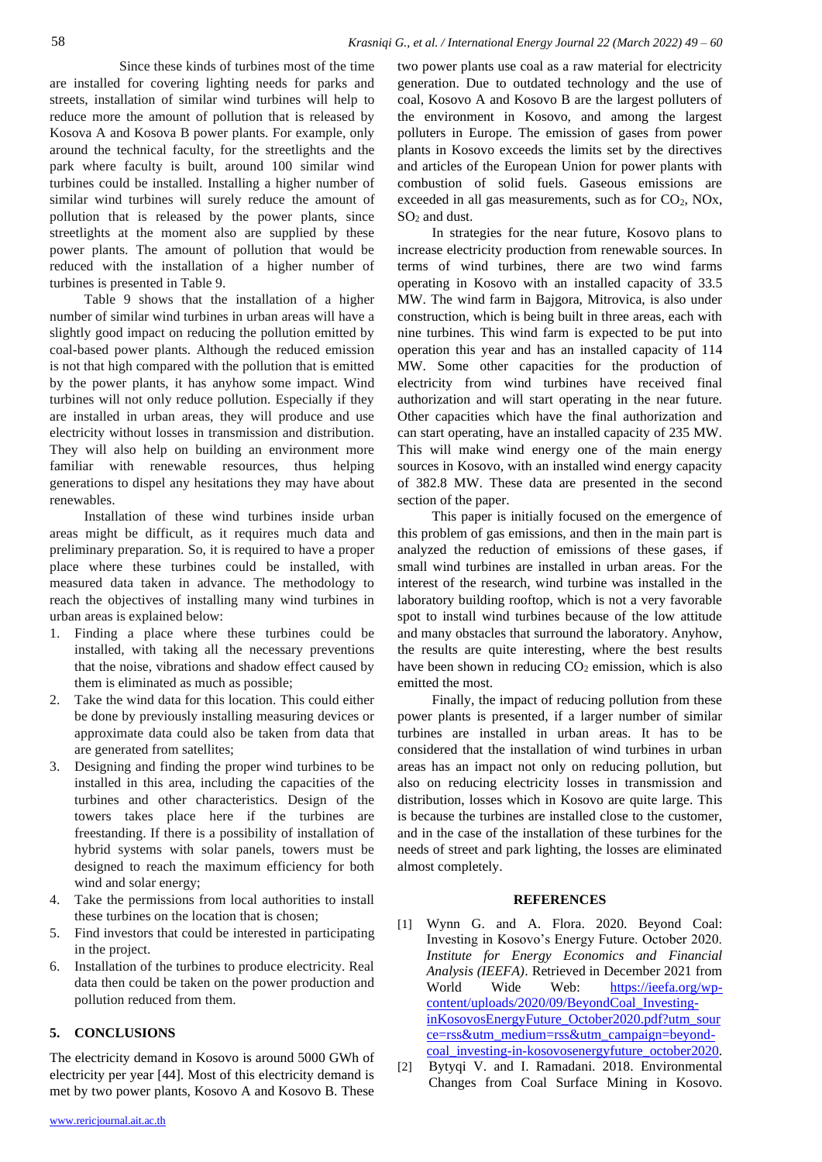Since these kinds of turbines most of the time are installed for covering lighting needs for parks and streets, installation of similar wind turbines will help to reduce more the amount of pollution that is released by Kosova A and Kosova B power plants. For example, only around the technical faculty, for the streetlights and the park where faculty is built, around 100 similar wind turbines could be installed. Installing a higher number of similar wind turbines will surely reduce the amount of pollution that is released by the power plants, since streetlights at the moment also are supplied by these power plants. The amount of pollution that would be reduced with the installation of a higher number of turbines is presented in Table 9.

Table 9 shows that the installation of a higher number of similar wind turbines in urban areas will have a slightly good impact on reducing the pollution emitted by coal-based power plants. Although the reduced emission is not that high compared with the pollution that is emitted by the power plants, it has anyhow some impact. Wind turbines will not only reduce pollution. Especially if they are installed in urban areas, they will produce and use electricity without losses in transmission and distribution. They will also help on building an environment more familiar with renewable resources, thus helping generations to dispel any hesitations they may have about renewables.

Installation of these wind turbines inside urban areas might be difficult, as it requires much data and preliminary preparation. So, it is required to have a proper place where these turbines could be installed, with measured data taken in advance. The methodology to reach the objectives of installing many wind turbines in urban areas is explained below:

- 1. Finding a place where these turbines could be installed, with taking all the necessary preventions that the noise, vibrations and shadow effect caused by them is eliminated as much as possible;
- 2. Take the wind data for this location. This could either be done by previously installing measuring devices or approximate data could also be taken from data that are generated from satellites;
- Designing and finding the proper wind turbines to be installed in this area, including the capacities of the turbines and other characteristics. Design of the towers takes place here if the turbines are freestanding. If there is a possibility of installation of hybrid systems with solar panels, towers must be designed to reach the maximum efficiency for both wind and solar energy;
- 4. Take the permissions from local authorities to install these turbines on the location that is chosen;
- 5. Find investors that could be interested in participating in the project.
- 6. Installation of the turbines to produce electricity. Real data then could be taken on the power production and pollution reduced from them.

# **5. CONCLUSIONS**

The electricity demand in Kosovo is around 5000 GWh of electricity per year [44]. Most of this electricity demand is met by two power plants, Kosovo A and Kosovo B. These two power plants use coal as a raw material for electricity generation. Due to outdated technology and the use of coal, Kosovo A and Kosovo B are the largest polluters of the environment in Kosovo, and among the largest polluters in Europe. The emission of gases from power plants in Kosovo exceeds the limits set by the directives and articles of the European Union for power plants with combustion of solid fuels. Gaseous emissions are exceeded in all gas measurements, such as for  $CO<sub>2</sub>$ , NOx,  $SO<sub>2</sub>$  and dust.

In strategies for the near future, Kosovo plans to increase electricity production from renewable sources. In terms of wind turbines, there are two wind farms operating in Kosovo with an installed capacity of 33.5 MW. The wind farm in Bajgora, Mitrovica, is also under construction, which is being built in three areas, each with nine turbines. This wind farm is expected to be put into operation this year and has an installed capacity of 114 MW. Some other capacities for the production of electricity from wind turbines have received final authorization and will start operating in the near future. Other capacities which have the final authorization and can start operating, have an installed capacity of 235 MW. This will make wind energy one of the main energy sources in Kosovo, with an installed wind energy capacity of 382.8 MW. These data are presented in the second section of the paper.

This paper is initially focused on the emergence of this problem of gas emissions, and then in the main part is analyzed the reduction of emissions of these gases, if small wind turbines are installed in urban areas. For the interest of the research, wind turbine was installed in the laboratory building rooftop, which is not a very favorable spot to install wind turbines because of the low attitude and many obstacles that surround the laboratory. Anyhow, the results are quite interesting, where the best results have been shown in reducing  $CO<sub>2</sub>$  emission, which is also emitted the most.

Finally, the impact of reducing pollution from these power plants is presented, if a larger number of similar turbines are installed in urban areas. It has to be considered that the installation of wind turbines in urban areas has an impact not only on reducing pollution, but also on reducing electricity losses in transmission and distribution, losses which in Kosovo are quite large. This is because the turbines are installed close to the customer, and in the case of the installation of these turbines for the needs of street and park lighting, the losses are eliminated almost completely.

#### **REFERENCES**

- [1] Wynn G. and A. Flora. 2020. Beyond Coal: Investing in Kosovo's Energy Future. October 2020. *Institute for Energy Economics and Financial Analysis (IEEFA)*. Retrieved in December 2021 from World Wide Web: [https://ieefa.org/wp](https://ieefa.org/wp-content/uploads/2020/09/BeyondCoal_Investing-inKosovosEnergyFuture_October2020.pdf?utm_source=rss&utm_medium=rss&utm_campaign=beyond-coal_investing-in-kosovosenergyfuture_october2020)[content/uploads/2020/09/BeyondCoal\\_Investing](https://ieefa.org/wp-content/uploads/2020/09/BeyondCoal_Investing-inKosovosEnergyFuture_October2020.pdf?utm_source=rss&utm_medium=rss&utm_campaign=beyond-coal_investing-in-kosovosenergyfuture_october2020)[inKosovosEnergyFuture\\_October2020.pdf?utm\\_sour](https://ieefa.org/wp-content/uploads/2020/09/BeyondCoal_Investing-inKosovosEnergyFuture_October2020.pdf?utm_source=rss&utm_medium=rss&utm_campaign=beyond-coal_investing-in-kosovosenergyfuture_october2020) [ce=rss&utm\\_medium=rss&utm\\_campaign=beyond](https://ieefa.org/wp-content/uploads/2020/09/BeyondCoal_Investing-inKosovosEnergyFuture_October2020.pdf?utm_source=rss&utm_medium=rss&utm_campaign=beyond-coal_investing-in-kosovosenergyfuture_october2020)[coal\\_investing-in-kosovosenergyfuture\\_october2020.](https://ieefa.org/wp-content/uploads/2020/09/BeyondCoal_Investing-inKosovosEnergyFuture_October2020.pdf?utm_source=rss&utm_medium=rss&utm_campaign=beyond-coal_investing-in-kosovosenergyfuture_october2020)
- [2] Bytyqi V. and I. Ramadani. 2018. Environmental Changes from Coal Surface Mining in Kosovo.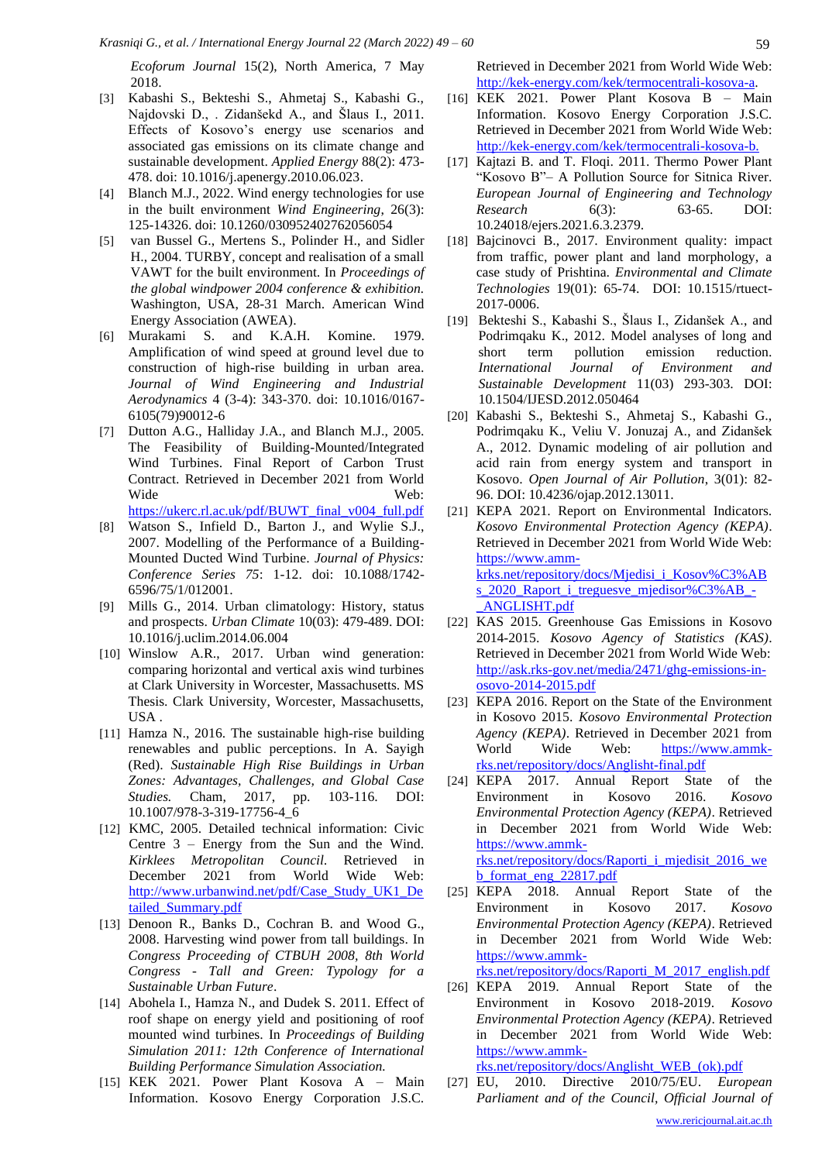*Ecoforum Journal* 15(2), North America, 7 May 2018.

- [3] Kabashi S., Bekteshi S., Ahmetaj S., Kabashi G., Najdovski D., . Zidanšekd A., and Šlaus I., 2011. Effects of Kosovo's energy use scenarios and associated gas emissions on its climate change and sustainable development. *Applied Energy* 88(2): 473- 478. doi: 10.1016/j.apenergy.2010.06.023.
- [4] Blanch M.J., 2022. Wind energy technologies for use in the built environment *Wind Engineering*, 26(3): 125-14326. doi: 10.1260/030952402762056054
- [5] van Bussel G., Mertens S., Polinder H., and Sidler H., 2004. TURBY, concept and realisation of a small VAWT for the built environment. In *Proceedings of the global windpower 2004 conference & exhibition.* Washington, USA, 28-31 March. American Wind Energy Association (AWEA).
- [6] Murakami S. and K.A.H. Komine. 1979. Amplification of wind speed at ground level due to construction of high-rise building in urban area. *Journal of Wind Engineering and Industrial Aerodynamics* 4 (3-4): 343-370. doi: 10.1016/0167- 6105(79)90012-6
- [7] Dutton A.G., Halliday J.A., and Blanch M.J., 2005. The Feasibility of Building-Mounted/Integrated Wind Turbines. Final Report of Carbon Trust Contract. Retrieved in December 2021 from World Wide Web: [https://ukerc.rl.ac.uk/pdf/BUWT\\_final\\_v004\\_full.pdf](https://ukerc.rl.ac.uk/pdf/BUWT_final_v004_full.pdf)
- [8] Watson S., Infield D., Barton J., and Wylie S.J., 2007. Modelling of the Performance of a Building-Mounted Ducted Wind Turbine. *Journal of Physics: Conference Series 75*: 1-12. doi: 10.1088/1742- 6596/75/1/012001.
- [9] Mills G., 2014. Urban climatology: History, status and prospects. *Urban Climate* 10(03): 479-489. DOI: 10.1016/j.uclim.2014.06.004
- [10] Winslow A.R., 2017. Urban wind generation: comparing horizontal and vertical axis wind turbines at Clark University in Worcester, Massachusetts. MS Thesis. Clark University, Worcester, Massachusetts, USA .
- [11] Hamza N., 2016. The sustainable high-rise building renewables and public perceptions. In A. Sayigh (Red). *Sustainable High Rise Buildings in Urban Zones: Advantages, Challenges, and Global Case Studies.* Cham, 2017, pp. 103-116. DOI: 10.1007/978-3-319-17756-4\_6
- [12] KMC, 2005. Detailed technical information: Civic Centre 3 – Energy from the Sun and the Wind. *Kirklees Metropolitan Council.* Retrieved in December 2021 from World Wide Web: [http://www.urbanwind.net/pdf/Case\\_Study\\_UK1\\_De](http://www.urbanwind.net/pdf/Case_Study_UK1_Detailed_Summary.pdf) [tailed\\_Summary.pdf](http://www.urbanwind.net/pdf/Case_Study_UK1_Detailed_Summary.pdf)
- [13] Denoon R., Banks D., Cochran B. and Wood G., 2008. Harvesting wind power from tall buildings. In *Congress Proceeding of CTBUH 2008, 8th World Congress - Tall and Green: Typology for a Sustainable Urban Future*.
- [14] Abohela I., Hamza N., and Dudek S. 2011. Effect of roof shape on energy yield and positioning of roof mounted wind turbines. In *Proceedings of Building Simulation 2011: 12th Conference of International Building Performance Simulation Association.*
- [15] KEK 2021. Power Plant Kosova A Main Information. Kosovo Energy Corporation J.S.C.

Retrieved in December 2021 from World Wide Web: [http://kek-energy.com/kek/termocentrali-kosova-a.](about:blank)

- [16] KEK 2021. Power Plant Kosova B Main Information. Kosovo Energy Corporation J.S.C. Retrieved in December 2021 from World Wide Web: [http://kek-energy.com/kek/termocentrali-kosova-b.](about:blank)
- [17] Kajtazi B. and T. Floqi. 2011. Thermo Power Plant "Kosovo B"– A Pollution Source for Sitnica River. *European Journal of Engineering and Technology Research* 6(3): 63-65. DOI: 10.24018/ejers.2021.6.3.2379.
- [18] Bajcinovci B., 2017. Environment quality: impact from traffic, power plant and land morphology, a case study of Prishtina. *Environmental and Climate Technologies* 19(01): 65-74. DOI: 10.1515/rtuect-2017-0006.
- [19] Bekteshi S., Kabashi S., Šlaus I., Zidanšek A., and Podrimqaku K., 2012. Model analyses of long and short term pollution emission reduction. *International Journal of Environment and Sustainable Development* 11(03) 293-303. DOI: 10.1504/IJESD.2012.050464
- [20] Kabashi S., Bekteshi S., Ahmetaj S., Kabashi G., Podrimqaku K., Veliu V. Jonuzaj A., and Zidanšek A., 2012. Dynamic modeling of air pollution and acid rain from energy system and transport in Kosovo. *Open Journal of Air Pollution*, 3(01): 82- 96. DOI: 10.4236/ojap.2012.13011.
- [21] KEPA 2021. Report on Environmental Indicators. *Kosovo Environmental Protection Agency (KEPA)*. Retrieved in December 2021 from World Wide Web: [https://www.amm](https://www.amm-krks.net/repository/docs/Mjedisi_i_Kosov%C3%ABs_2020_Raport_i_treguesve_mjedisor%C3%AB_-_ANGLISHT.pdf)[krks.net/repository/docs/Mjedisi\\_i\\_Kosov%C3%AB](https://www.amm-krks.net/repository/docs/Mjedisi_i_Kosov%C3%ABs_2020_Raport_i_treguesve_mjedisor%C3%AB_-_ANGLISHT.pdf) s 2020 Raport i treguesve mjedisor%C3%AB -[\\_ANGLISHT.pdf](https://www.amm-krks.net/repository/docs/Mjedisi_i_Kosov%C3%ABs_2020_Raport_i_treguesve_mjedisor%C3%AB_-_ANGLISHT.pdf)
- [22] KAS 2015. Greenhouse Gas Emissions in Kosovo 2014-2015. *Kosovo Agency of Statistics (KAS)*. Retrieved in December 2021 from World Wide Web: [http://ask.rks-gov.net/media/2471/ghg-emissions-in](about:blank)[osovo-2014-2015.pdf](about:blank)
- [23] KEPA 2016. Report on the State of the Environment in Kosovo 2015. *Kosovo Environmental Protection Agency (KEPA)*. Retrieved in December 2021 from World Wide Web: [https://www.ammk](https://www.ammk-rks.net/repository/docs/Anglisht-final.pdf)[rks.net/repository/docs/Anglisht-final.pdf](https://www.ammk-rks.net/repository/docs/Anglisht-final.pdf)
- [24] KEPA 2017. Annual Report State of the Environment in Kosovo 2016. *Kosovo Environmental Protection Agency (KEPA)*. Retrieved in December 2021 from World Wide Web: [https://www.ammk](https://www.ammk-rks.net/repository/docs/Raporti_i_mjedisit_2016_web_format_eng_22817.pdf)[rks.net/repository/docs/Raporti\\_i\\_mjedisit\\_2016\\_we](https://www.ammk-rks.net/repository/docs/Raporti_i_mjedisit_2016_web_format_eng_22817.pdf) [b\\_format\\_eng\\_22817.pdf](https://www.ammk-rks.net/repository/docs/Raporti_i_mjedisit_2016_web_format_eng_22817.pdf)
- [25] KEPA 2018. Annual Report State of the Environment in Kosovo 2017. *Kosovo Environmental Protection Agency (KEPA)*. Retrieved in December 2021 from World Wide Web: [https://www.ammk-](https://www.ammk-rks.net/repository/docs/Raporti_M_2017_english.pdf)

[rks.net/repository/docs/Raporti\\_M\\_2017\\_english.pdf](https://www.ammk-rks.net/repository/docs/Raporti_M_2017_english.pdf)

[26] KEPA 2019. Annual Report State of the Environment in Kosovo 2018-2019. *Kosovo Environmental Protection Agency (KEPA)*. Retrieved in December 2021 from World Wide Web: [https://www.ammk-](https://www.ammk-rks.net/repository/docs/Anglisht_WEB_(ok).pdf)

[rks.net/repository/docs/Anglisht\\_WEB\\_\(ok\).pdf](https://www.ammk-rks.net/repository/docs/Anglisht_WEB_(ok).pdf) 

[27] EU, 2010. Directive 2010/75/EU. *European Parliament and of the Council, Official Journal of*